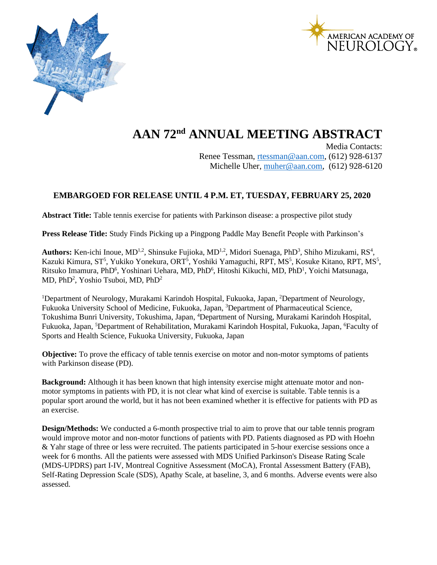



## **AAN 72nd ANNUAL MEETING ABSTRACT**

Media Contacts: Renee Tessman, [rtessman@aan.com,](mailto:rtessman@aan.com) (612) 928-6137 Michelle Uher, [muher@aan.com,](mailto:muher@aan.com) (612) 928-6120

## **EMBARGOED FOR RELEASE UNTIL 4 P.M. ET, TUESDAY, FEBRUARY 25, 2020**

**Abstract Title:** Table tennis exercise for patients with Parkinson disease: a prospective pilot study

**Press Release Title:** Study Finds Picking up a Pingpong Paddle May Benefit People with Parkinson's

Authors: Ken-ichi Inoue, MD<sup>1,2</sup>, Shinsuke Fujioka, MD<sup>1,2</sup>, Midori Suenaga, PhD<sup>3</sup>, Shiho Mizukami, RS<sup>4</sup>, Kazuki Kimura, ST<sup>5</sup>, Yukiko Yonekura, ORT<sup>5</sup>, Yoshiki Yamaguchi, RPT, MS<sup>5</sup>, Kosuke Kitano, RPT, MS<sup>5</sup>, Ritsuko Imamura, PhD<sup>6</sup>, Yoshinari Uehara, MD, PhD<sup>6</sup>, Hitoshi Kikuchi, MD, PhD<sup>1</sup>, Yoichi Matsunaga, MD, PhD<sup>2</sup>, Yoshio Tsuboi, MD, PhD<sup>2</sup>

<sup>1</sup>Department of Neurology, Murakami Karindoh Hospital, Fukuoka, Japan, <sup>2</sup>Department of Neurology, Fukuoka University School of Medicine, Fukuoka, Japan, <sup>3</sup>Department of Pharmaceutical Science, Tokushima Bunri University, Tokushima, Japan, <sup>4</sup>Department of Nursing, Murakami Karindoh Hospital, Fukuoka, Japan, <sup>5</sup>Department of Rehabilitation, Murakami Karindoh Hospital, Fukuoka, Japan, <sup>6</sup>Faculty of Sports and Health Science, Fukuoka University, Fukuoka, Japan

**Objective:** To prove the efficacy of table tennis exercise on motor and non-motor symptoms of patients with Parkinson disease (PD).

**Background:** Although it has been known that high intensity exercise might attenuate motor and nonmotor symptoms in patients with PD, it is not clear what kind of exercise is suitable. Table tennis is a popular sport around the world, but it has not been examined whether it is effective for patients with PD as an exercise.

**Design/Methods:** We conducted a 6-month prospective trial to aim to prove that our table tennis program would improve motor and non-motor functions of patients with PD. Patients diagnosed as PD with Hoehn & Yahr stage of three or less were recruited. The patients participated in 5-hour exercise sessions once a week for 6 months. All the patients were assessed with MDS Unified Parkinson's Disease Rating Scale (MDS-UPDRS) part I-IV, Montreal Cognitive Assessment (MoCA), Frontal Assessment Battery (FAB), Self-Rating Depression Scale (SDS), Apathy Scale, at baseline, 3, and 6 months. Adverse events were also assessed.